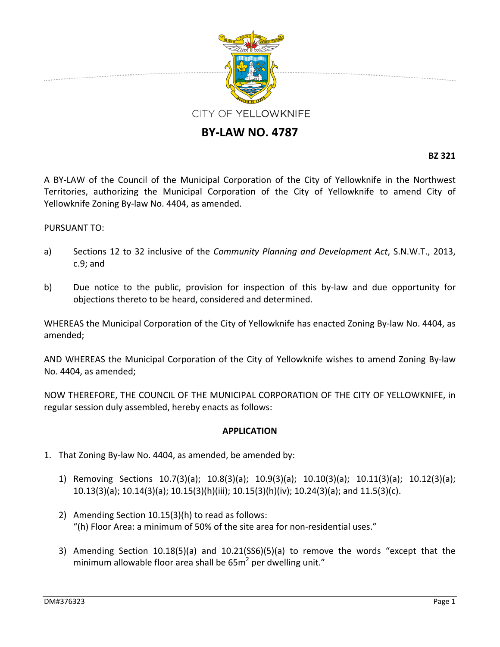

## **BY‐LAW NO. 4787**

**BZ 321**

A BY‐LAW of the Council of the Municipal Corporation of the City of Yellowknife in the Northwest Territories, authorizing the Municipal Corporation of the City of Yellowknife to amend City of Yellowknife Zoning By‐law No. 4404, as amended.

## PURSUANT TO:

- a) Sections 12 to 32 inclusive of the *Community Planning and Development Act*, S.N.W.T., 2013, c.9; and
- b) Due notice to the public, provision for inspection of this by-law and due opportunity for objections thereto to be heard, considered and determined.

WHEREAS the Municipal Corporation of the City of Yellowknife has enacted Zoning By-law No. 4404, as amended;

AND WHEREAS the Municipal Corporation of the City of Yellowknife wishes to amend Zoning By‐law No. 4404, as amended;

NOW THEREFORE, THE COUNCIL OF THE MUNICIPAL CORPORATION OF THE CITY OF YELLOWKNIFE, in regular session duly assembled, hereby enacts as follows:

## **APPLICATION**

- 1. That Zoning By‐law No. 4404, as amended, be amended by:
	- 1) Removing Sections 10.7(3)(a); 10.8(3)(a); 10.9(3)(a); 10.10(3)(a); 10.11(3)(a); 10.12(3)(a); 10.13(3)(a); 10.14(3)(a); 10.15(3)(h)(iii); 10.15(3)(h)(iv); 10.24(3)(a); and 11.5(3)(c).
	- 2) Amending Section 10.15(3)(h) to read as follows: "(h) Floor Area: a minimum of 50% of the site area for non‐residential uses."
	- 3) Amending Section 10.18(5)(a) and 10.21(SS6)(5)(a) to remove the words "except that the minimum allowable floor area shall be  $65m<sup>2</sup>$  per dwelling unit."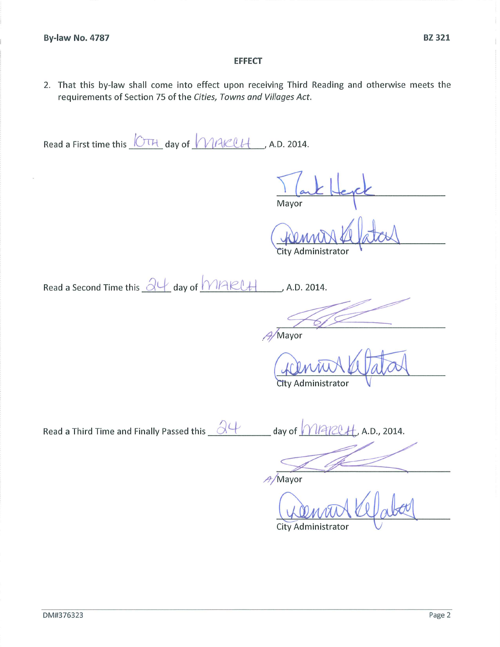## **EFFECT**

2. That this by-law shall come into effect upon receiving Third Reading and otherwise meets the requirements of Section 75 of the Cities, Towns and Villages Act.

Read a First time this CTH day of MAKCH , A.D. 2014.

Mayor

City Administrator

Read a Second Time this  $\frac{\partial \psi}{\partial x}$  day of MARUH  $, A.D. 2014.$ 

 $A/M$ ayor

City Administrator

Read a Third Time and Finally Passed this  $\frac{\partial \psi}{\partial \psi}$  day of  $\sqrt{\frac{|\partial \psi|}{|\partial \psi|}}$ , A.D., 2014.

A/Mayor

City Administrator